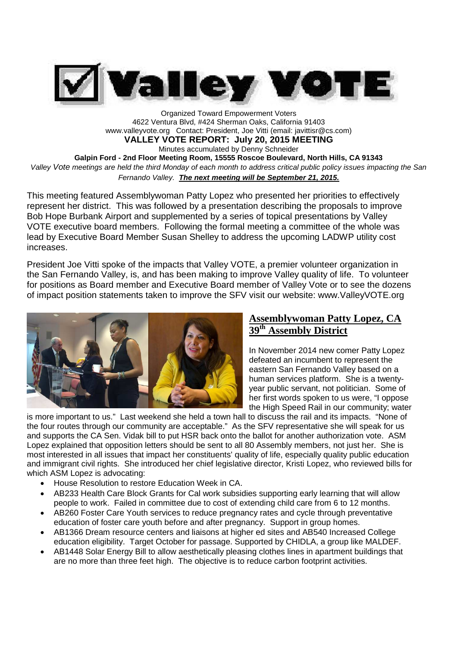

Organized Toward Empowerment Voters 4622 Ventura Blvd, #424 Sherman Oaks, California 91403 www.valleyvote.org Contact: President, Joe Vitti (email: javittisr@cs.com)

**VALLEY VOTE REPORT: July 20, 2015 MEETING**

Minutes accumulated by Denny Schneider

**Galpin Ford - 2nd Floor Meeting Room, 15555 Roscoe Boulevard, North Hills, CA 91343** *Valley Vote meetings are held the third Monday of each month to address critical public policy issues impacting the San Fernando Valley. The next meeting will be September 21, 2015.*

This meeting featured Assemblywoman Patty Lopez who presented her priorities to effectively represent her district. This was followed by a presentation describing the proposals to improve Bob Hope Burbank Airport and supplemented by a series of topical presentations by Valley VOTE executive board members. Following the formal meeting a committee of the whole was lead by Executive Board Member Susan Shelley to address the upcoming LADWP utility cost increases.

President Joe Vitti spoke of the impacts that Valley VOTE, a premier volunteer organization in the San Fernando Valley, is, and has been making to improve Valley quality of life. To volunteer for positions as Board member and Executive Board member of Valley Vote or to see the dozens of impact position statements taken to improve the SFV visit our website: www.ValleyVOTE.org



## **Assemblywoman Patty Lopez, CA 39th Assembly District**

In November 2014 new comer Patty Lopez defeated an incumbent to represent the eastern San Fernando Valley based on a human services platform. She is a twentyyear public servant, not politician. Some of her first words spoken to us were, "I oppose the High Speed Rail in our community; water

is more important to us." Last weekend she held a town hall to discuss the rail and its impacts. "None of the four routes through our community are acceptable." As the SFV representative she will speak for us and supports the CA Sen. Vidak bill to put HSR back onto the ballot for another authorization vote. ASM Lopez explained that opposition letters should be sent to all 80 Assembly members, not just her. She is most interested in all issues that impact her constituents' quality of life, especially quality public education and immigrant civil rights. She introduced her chief legislative director, Kristi Lopez, who reviewed bills for which ASM Lopez is advocating:

- House Resolution to restore Education Week in CA.
- AB233 Health Care Block Grants for Cal work subsidies supporting early learning that will allow people to work. Failed in committee due to cost of extending child care from 6 to 12 months.
- AB260 Foster Care Youth services to reduce pregnancy rates and cycle through preventative education of foster care youth before and after pregnancy. Support in group homes.
- AB1366 Dream resource centers and liaisons at higher ed sites and AB540 Increased College education eligibility. Target October for passage. Supported by CHIDLA, a group like MALDEF.
- AB1448 Solar Energy Bill to allow aesthetically pleasing clothes lines in apartment buildings that are no more than three feet high. The objective is to reduce carbon footprint activities.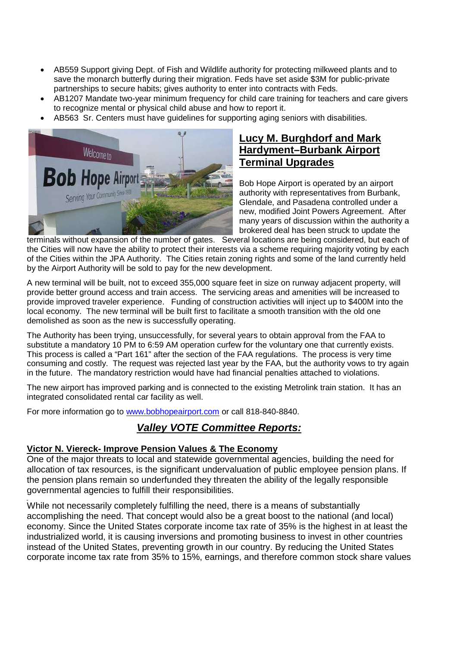- AB559 Support giving Dept. of Fish and Wildlife authority for protecting milkweed plants and to save the monarch butterfly during their migration. Feds have set aside \$3M for public-private partnerships to secure habits; gives authority to enter into contracts with Feds.
- AB1207 Mandate two-year minimum frequency for child care training for teachers and care givers to recognize mental or physical child abuse and how to report it.
- AB563 Sr. Centers must have guidelines for supporting aging seniors with disabilities.



# **Lucy M. Burghdorf and Mark Hardyment–Burbank Airport Terminal Upgrades**

Bob Hope Airport is operated by an airport authority with representatives from Burbank, Glendale, and Pasadena controlled under a new, modified Joint Powers Agreement. After many years of discussion within the authority a brokered deal has been struck to update the

terminals without expansion of the number of gates. Several locations are being considered, but each of the Cities will now have the ability to protect their interests via a scheme requiring majority voting by each of the Cities within the JPA Authority. The Cities retain zoning rights and some of the land currently held by the Airport Authority will be sold to pay for the new development.

A new terminal will be built, not to exceed 355,000 square feet in size on runway adjacent property, will provide better ground access and train access. The servicing areas and amenities will be increased to provide improved traveler experience. Funding of construction activities will inject up to \$400M into the local economy. The new terminal will be built first to facilitate a smooth transition with the old one demolished as soon as the new is successfully operating.

The Authority has been trying, unsuccessfully, for several years to obtain approval from the FAA to substitute a mandatory 10 PM to 6:59 AM operation curfew for the voluntary one that currently exists. This process is called a "Part 161" after the section of the FAA regulations. The process is very time consuming and costly. The request was rejected last year by the FAA, but the authority vows to try again in the future. The mandatory restriction would have had financial penalties attached to violations.

The new airport has improved parking and is connected to the existing Metrolink train station. It has an integrated consolidated rental car facility as well.

For more information go to www.bobhopeairport.com or call 818-840-8840.

# *Valley VOTE Committee Reports:*

## **Victor N. Viereck- Improve Pension Values & The Economy**

One of the major threats to local and statewide governmental agencies, building the need for allocation of tax resources, is the significant undervaluation of public employee pension plans. If the pension plans remain so underfunded they threaten the ability of the legally responsible governmental agencies to fulfill their responsibilities.

While not necessarily completely fulfilling the need, there is a means of substantially accomplishing the need. That concept would also be a great boost to the national (and local) economy. Since the United States corporate income tax rate of 35% is the highest in at least the industrialized world, it is causing inversions and promoting business to invest in other countries instead of the United States, preventing growth in our country. By reducing the United States corporate income tax rate from 35% to 15%, earnings, and therefore common stock share values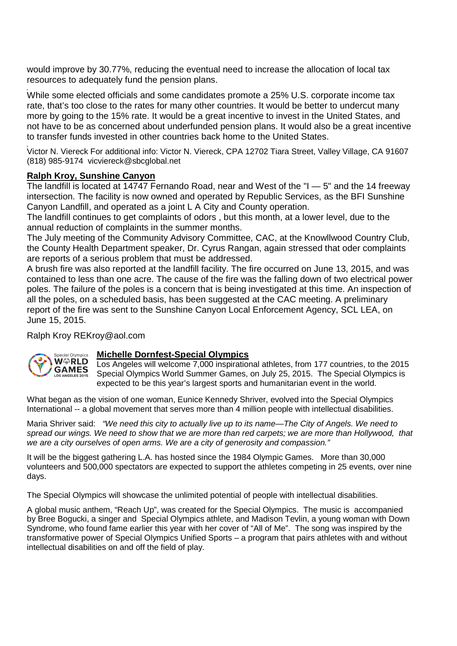would improve by 30.77%, reducing the eventual need to increase the allocation of local tax resources to adequately fund the pension plans.

While some elected officials and some candidates promote a 25% U.S. corporate income tax rate, that's too close to the rates for many other countries. It would be better to undercut many more by going to the 15% rate. It would be a great incentive to invest in the United States, and not have to be as concerned about underfunded pension plans. It would also be a great incentive to transfer funds invested in other countries back home to the United States.

Victor N. Viereck For additional info: Victor N. Viereck, CPA 12702 Tiara Street, Valley Village, CA 91607 (818) 985-9174 vicviereck@sbcglobal.net

#### **Ralph Kroy, Sunshine Canyon**

The landfill is located at 14747 Fernando Road, near and West of the "I — 5" and the 14 freeway intersection. The facility is now owned and operated by Republic Services, as the BFI Sunshine Canyon Landfill, and operated as a joint L A City and County operation.

The landfill continues to get complaints of odors , but this month, at a lower level, due to the annual reduction of complaints in the summer months.

The July meeting of the Community Advisory Committee, CAC, at the Knowllwood Country Club, the County Health Department speaker, Dr. Cyrus Rangan, again stressed that oder complaints are reports of a serious problem that must be addressed.

A brush fire was also reported at the landfill facility. The fire occurred on June 13, 2015, and was contained to less than one acre. The cause of the fire was the falling down of two electrical power poles. The failure of the poles is a concern that is being investigated at this time. An inspection of all the poles, on a scheduled basis, has been suggested at the CAC meeting. A preliminary report of the fire was sent to the Sunshine Canyon Local Enforcement Agency, SCL LEA, on June 15, 2015.

## Ralph Kroy REKroy@aol.com



## **Michelle Dornfest-Special Olympics**

Los Angeles will welcome 7,000 inspirational athletes, from 177 countries, to the 2015 Special Olympics World Summer Games, on July 25, 2015. The Special Olympics is expected to be this year's largest sports and humanitarian event in the world.

What began as the vision of one woman, Eunice Kennedy Shriver, evolved into the Special Olympics International -- a global movement that serves more than 4 million people with intellectual disabilities.

Maria Shriver said: *"We need this city to actually live up to its name—The City of Angels. We need to spread our wings. We need to show that we are more than red carpets; we are more than Hollywood, that we are a city ourselves of open arms. We are a city of generosity and compassion."*

It will be the biggest gathering L.A. has hosted since the 1984 Olympic Games. More than 30,000 volunteers and 500,000 spectators are expected to support the athletes competing in 25 events, over nine days.

The Special Olympics will showcase the unlimited potential of people with intellectual disabilities.

A global music anthem, "Reach Up", was created for the Special Olympics. The music is accompanied by Bree Bogucki, a singer and Special Olympics athlete, and Madison Tevlin, a young woman with Down Syndrome, who found fame earlier this year with her cover of "All of Me". The song was inspired by the transformative power of Special Olympics Unified Sports – a program that pairs athletes with and without intellectual disabilities on and off the field of play.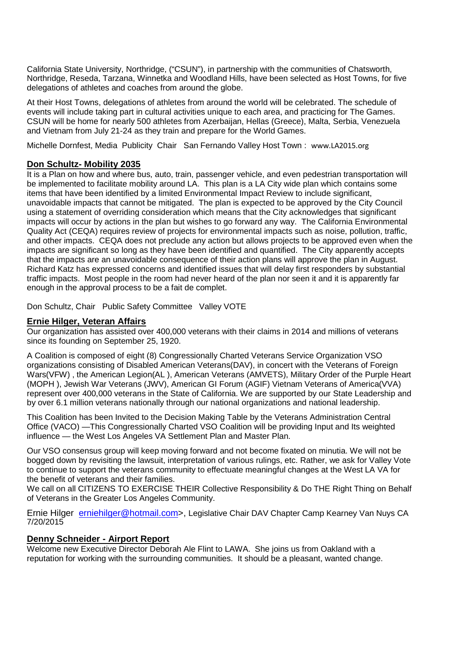California State University, Northridge, ("CSUN"), in partnership with the communities of Chatsworth, Northridge, Reseda, Tarzana, Winnetka and Woodland Hills, have been selected as Host Towns, for five delegations of athletes and coaches from around the globe.

At their Host Towns, delegations of athletes from around the world will be celebrated. The schedule of events will include taking part in cultural activities unique to each area, and practicing for The Games. CSUN will be home for nearly 500 athletes from Azerbaijan, Hellas (Greece), Malta, Serbia, Venezuela and Vietnam from July 21-24 as they train and prepare for the World Games.

Michelle Dornfest, Media Publicity Chair San Fernando Valley Host Town : www.LA2015.org

#### **Don Schultz- Mobility 2035**

It is a Plan on how and where bus, auto, train, passenger vehicle, and even pedestrian transportation will be implemented to facilitate mobility around LA. This plan is a LA City wide plan which contains some items that have been identified by a limited Environmental Impact Review to include significant, unavoidable impacts that cannot be mitigated. The plan is expected to be approved by the City Council using a statement of overriding consideration which means that the City acknowledges that significant impacts will occur by actions in the plan but wishes to go forward any way. The California Environmental Quality Act (CEQA) requires review of projects for environmental impacts such as noise, pollution, traffic, and other impacts. CEQA does not preclude any action but allows projects to be approved even when the impacts are significant so long as they have been identified and quantified. The City apparently accepts that the impacts are an unavoidable consequence of their action plans will approve the plan in August. Richard Katz has expressed concerns and identified issues that will delay first responders by substantial traffic impacts. Most people in the room had never heard of the plan nor seen it and it is apparently far enough in the approval process to be a fait de complet.

Don Schultz, Chair Public Safety Committee Valley VOTE

#### **Ernie Hilger, Veteran Affairs**

Our organization has assisted over 400,000 veterans with their claims in 2014 and millions of veterans since its founding on September 25, 1920.

A Coalition is composed of eight (8) Congressionally Charted Veterans Service Organization VSO organizations consisting of Disabled American Veterans(DAV), in concert with the Veterans of Foreign Wars(VFW) , the American Legion(AL ), American Veterans (AMVETS), Military Order of the Purple Heart (MOPH ), Jewish War Veterans (JWV), American GI Forum (AGIF) Vietnam Veterans of America(VVA) represent over 400,000 veterans in the State of California. We are supported by our State Leadership and by over 6.1 million veterans nationally through our national organizations and national leadership.

This Coalition has been Invited to the Decision Making Table by the Veterans Administration Central Office (VACO) —This Congressionally Charted VSO Coalition will be providing Input and Its weighted influence — the West Los Angeles VA Settlement Plan and Master Plan.

Our VSO consensus group will keep moving forward and not become fixated on minutia. We will not be bogged down by revisiting the lawsuit, interpretation of various rulings, etc. Rather, we ask for Valley Vote to continue to support the veterans community to effectuate meaningful changes at the West LA VA for the benefit of veterans and their families.

We call on all CITIZENS TO EXERCISE THEIR Collective Responsibility & Do THE Right Thing on Behalf of Veterans in the Greater Los Angeles Community.

Ernie Hilger erniehilger@hotmail.com>, Legislative Chair DAV Chapter Camp Kearney Van Nuys CA 7/20/2015

#### **Denny Schneider - Airport Report**

Welcome new Executive Director Deborah Ale Flint to LAWA. She joins us from Oakland with a reputation for working with the surrounding communities. It should be a pleasant, wanted change.